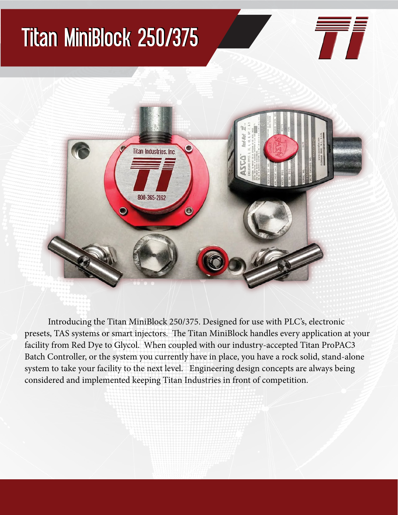## Titan MiniBlock 250/375





 Introducing the Titan MiniBlock 250/375. Designed for use with PLC's, electronic presets, TAS systems or smart injectors. The Titan MiniBlock handles every application at your facility from Red Dye to Glycol. When coupled with our industry-accepted Titan ProPAC3 Batch Controller, or the system you currently have in place, you have a rock solid, stand-alone system to take your facility to the next level. Engineering design concepts are always being considered and implemented keeping Titan Industries in front of competition.